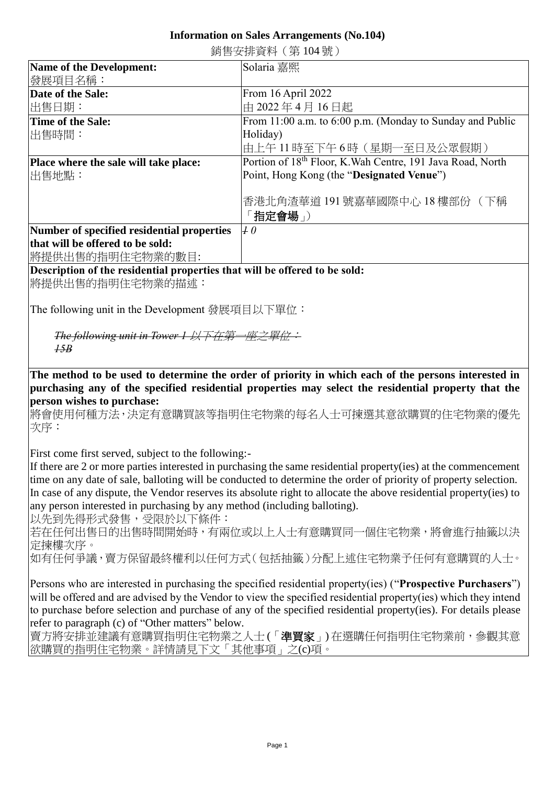## **Information on Sales Arrangements (No.104)**

| 奶ロメJタヤ 貝イコ \ スフ エ♡ ' ルル ノ                  |                                                               |
|--------------------------------------------|---------------------------------------------------------------|
| Name of the Development:                   | Solaria 嘉熙                                                    |
| 發展項目名稱:                                    |                                                               |
| Date of the Sale:                          | From $16$ April 2022                                          |
| 出售日期:                                      | 由 2022年4月16日起                                                 |
| Time of the Sale:                          | From $11:00$ a.m. to $6:00$ p.m. (Monday to Sunday and Public |
| 出售時間:                                      | Holiday)                                                      |
|                                            | 由上午 11 時至下午 6 時(星期一至日及公眾假期)                                   |
| Place where the sale will take place:      | Portion of 18th Floor, K. Wah Centre, 191 Java Road, North    |
| 出售地點:                                      | Point, Hong Kong (the "Designated Venue")                     |
|                                            |                                                               |
|                                            | 香港北角渣華道 191 號嘉華國際中心 18 樓部份( 下稱                                |
|                                            | 「指定會場」)                                                       |
| Number of specified residential properties | $\mu$ 0                                                       |
| that will be offered to be sold:           |                                                               |

銷售安排資料(第 104 號)

將提供出售的指明住宅物業的數目:

## **Description of the residential properties that will be offered to be sold:**

將提供出售的指明住宅物業的描述:

The following unit in the Development 發展項目以下單位:

**The following unit in Tower 1 以下在第** *15B*

**The method to be used to determine the order of priority in which each of the persons interested in purchasing any of the specified residential properties may select the residential property that the person wishes to purchase:** 

將會使用何種方法,決定有意購買該等指明住宅物業的每名人士可揀選其意欲購買的住宅物業的優先 次序:

First come first served, subject to the following:-

If there are 2 or more parties interested in purchasing the same residential property(ies) at the commencement time on any date of sale, balloting will be conducted to determine the order of priority of property selection. In case of any dispute, the Vendor reserves its absolute right to allocate the above residential property(ies) to any person interested in purchasing by any method (including balloting).

以先到先得形式發售,受限於以下條件:

若在任何出售日的出售時間開始時,有兩位或以上人士有意購買同一個住宅物業,將會進行抽籤以決 定揀樓次序。

如有任何爭議,賣方保留最終權利以任何方式(包括抽籤)分配上述住宅物業予任何有意購買的人士。

Persons who are interested in purchasing the specified residential property(ies) ("**Prospective Purchasers**") will be offered and are advised by the Vendor to view the specified residential property(ies) which they intend to purchase before selection and purchase of any of the specified residential property(ies). For details please refer to paragraph (c) of "Other matters" below.

賣方將安排並建議有意購買指明住宅物業之人士 (「準買家」) 在選購任何指明住宅物業前,參觀其意 欲購買的指明住宅物業。詳情請見下文「其他事項」之(c)項。